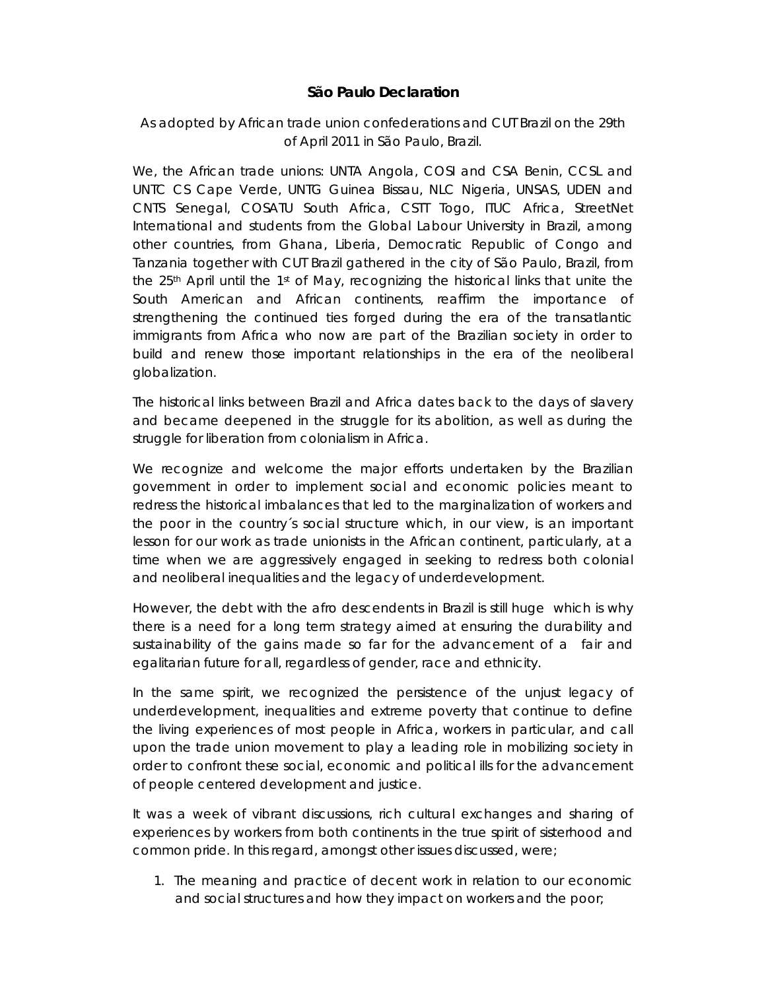## **São Paulo Declaration**

## *As adopted by African trade union confederations and CUT Brazil on the 29th of April 2011 in São Paulo, Brazil.*

We, the African trade unions: UNTA Angola, COSI and CSA Benin, CCSL and UNTC CS Cape Verde, UNTG Guinea Bissau, NLC Nigeria, UNSAS, UDEN and CNTS Senegal, COSATU South Africa, CSTT Togo, ITUC Africa, StreetNet International and students from the Global Labour University in Brazil, among other countries, from Ghana, Liberia, Democratic Republic of Congo and Tanzania together with CUT Brazil gathered in the city of São Paulo, Brazil, from the 25<sup>th</sup> April until the 1<sup>st</sup> of May, recognizing the historical links that unite the South American and African continents, reaffirm the importance of strengthening the continued ties forged during the era of the transatlantic immigrants from Africa who now are part of the Brazilian society in order to build and renew those important relationships in the era of the neoliberal globalization.

The historical links between Brazil and Africa dates back to the days of slavery and became deepened in the struggle for its abolition, as well as during the struggle for liberation from colonialism in Africa.

We recognize and welcome the major efforts undertaken by the Brazilian government in order to implement social and economic policies meant to redress the historical imbalances that led to the marginalization of workers and the poor in the country´s social structure which, in our view, is an important lesson for our work as trade unionists in the African continent, particularly, at a time when we are aggressively engaged in seeking to redress both colonial and neoliberal inequalities and the legacy of underdevelopment.

However, the debt with the afro descendents in Brazil is still huge which is why there is a need for a long term strategy aimed at ensuring the durability and sustainability of the gains made so far for the advancement of a fair and egalitarian future for all, regardless of gender, race and ethnicity.

In the same spirit, we recognized the persistence of the unjust legacy of underdevelopment, inequalities and extreme poverty that continue to define the living experiences of most people in Africa, workers in particular, and call upon the trade union movement to play a leading role in mobilizing society in order to confront these social, economic and political ills for the advancement of people centered development and justice.

It was a week of vibrant discussions, rich cultural exchanges and sharing of experiences by workers from both continents in the true spirit of sisterhood and common pride. In this regard, amongst other issues discussed, were;

1. The meaning and practice of decent work in relation to our economic and social structures and how they impact on workers and the poor;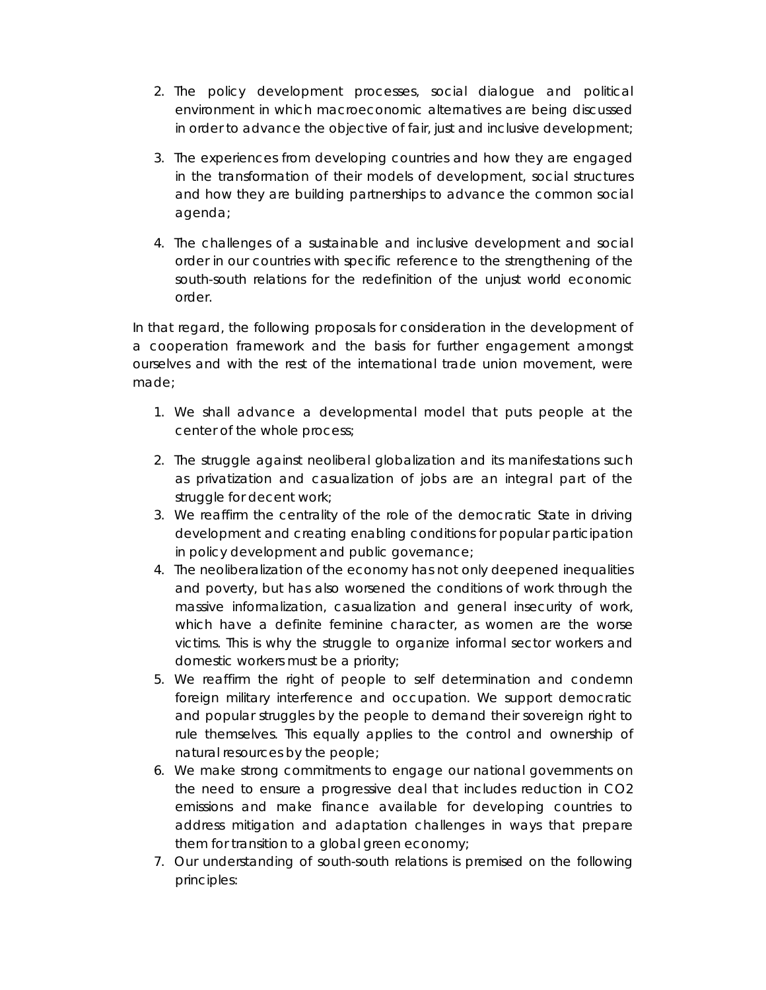- 2. The policy development processes, social dialogue and political environment in which macroeconomic alternatives are being discussed in order to advance the objective of fair, just and inclusive development;
- 3. The experiences from developing countries and how they are engaged in the transformation of their models of development, social structures and how they are building partnerships to advance the common social agenda;
- 4. The challenges of a sustainable and inclusive development and social order in our countries with specific reference to the strengthening of the south-south relations for the redefinition of the unjust world economic order.

In that regard, the following proposals for consideration in the development of a cooperation framework and the basis for further engagement amongst ourselves and with the rest of the international trade union movement, were made;

- 1. We shall advance a developmental model that puts people at the center of the whole process;
- 2. The struggle against neoliberal globalization and its manifestations such as privatization and casualization of jobs are an integral part of the struggle for decent work;
- 3. We reaffirm the centrality of the role of the democratic State in driving development and creating enabling conditions for popular participation in policy development and public governance;
- 4. The neoliberalization of the economy has not only deepened inequalities and poverty, but has also worsened the conditions of work through the massive informalization, casualization and general insecurity of work, which have a definite feminine character, as women are the worse victims. This is why the struggle to organize informal sector workers and domestic workers must be a priority;
- 5. We reaffirm the right of people to self determination and condemn foreign military interference and occupation. We support democratic and popular struggles by the people to demand their sovereign right to rule themselves. This equally applies to the control and ownership of natural resources by the people;
- 6. We make strong commitments to engage our national governments on the need to ensure a progressive deal that includes reduction in CO2 emissions and make finance available for developing countries to address mitigation and adaptation challenges in ways that prepare them for transition to a global green economy;
- 7. Our understanding of south-south relations is premised on the following principles: